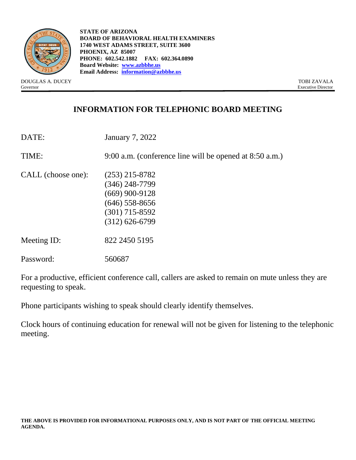

**STATE OF ARIZONA BOARD OF BEHAVIORAL HEALTH EXAMINERS 1740 WEST ADAMS STREET, SUITE 3600 PHOENIX, AZ 85007 PHONE: 602.542.1882 FAX: 602.364.0890 Board Website: [www.azbbhe.us](http://www.azbbhe.us/) Email Address: [information@azbbhe.us](mailto:information@azbbhe.us)**

DOUGLAS A. DUCEY TOBI ZAVALA Governor Executive Director

# **INFORMATION FOR TELEPHONIC BOARD MEETING**

| DATE:              | <b>January 7, 2022</b>                                                                                               |
|--------------------|----------------------------------------------------------------------------------------------------------------------|
| TIME:              | 9:00 a.m. (conference line will be opened at 8:50 a.m.)                                                              |
| CALL (choose one): | $(253)$ 215-8782<br>$(346)$ 248-7799<br>$(669)$ 900-9128<br>$(646)$ 558-8656<br>$(301)$ 715-8592<br>$(312)$ 626-6799 |
| Meeting ID:        | 822 2450 5195                                                                                                        |
| Password:          | 560687                                                                                                               |

For a productive, efficient conference call, callers are asked to remain on mute unless they are requesting to speak.

Phone participants wishing to speak should clearly identify themselves.

Clock hours of continuing education for renewal will not be given for listening to the telephonic meeting.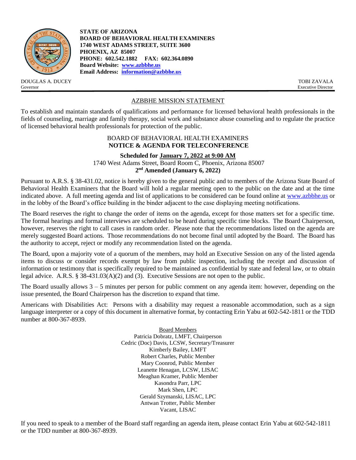

DOUGLAS A. DUCEY TOBI ZAVALA Governor Executive Director

**STATE OF ARIZONA BOARD OF BEHAVIORAL HEALTH EXAMINERS 1740 WEST ADAMS STREET, SUITE 3600 PHOENIX, AZ 85007 PHONE: 602.542.1882 FAX: 602.364.0890 Board Website: [www.azbbhe.us](http://www.azbbhe.us/) Email Address: [information@azbbhe.us](mailto:information@azbbhe.us)**

## AZBBHE MISSION STATEMENT

To establish and maintain standards of qualifications and performance for licensed behavioral health professionals in the fields of counseling, marriage and family therapy, social work and substance abuse counseling and to regulate the practice of licensed behavioral health professionals for protection of the public.

#### BOARD OF BEHAVIORAL HEALTH EXAMINERS **NOTICE & AGENDA FOR TELECONFERENCE**

**Scheduled for January 7, 2022 at 9:00 AM** 1740 West Adams Street, Board Room C, Phoenix, Arizona 85007 **2 nd Amended (January 6, 2022)**

Pursuant to A.R.S. § 38-431.02, notice is hereby given to the general public and to members of the Arizona State Board of Behavioral Health Examiners that the Board will hold a regular meeting open to the public on the date and at the time indicated above. A full meeting agenda and list of applications to be considered can be found online at [www.azbbhe.us](http://www.azbbhe.us/) or in the lobby of the Board's office building in the binder adjacent to the case displaying meeting notifications.

The Board reserves the right to change the order of items on the agenda, except for those matters set for a specific time. The formal hearings and formal interviews are scheduled to be heard during specific time blocks. The Board Chairperson, however, reserves the right to call cases in random order. Please note that the recommendations listed on the agenda are merely suggested Board actions. Those recommendations do not become final until adopted by the Board. The Board has the authority to accept, reject or modify any recommendation listed on the agenda.

The Board, upon a majority vote of a quorum of the members, may hold an Executive Session on any of the listed agenda items to discuss or consider records exempt by law from public inspection, including the receipt and discussion of information or testimony that is specifically required to be maintained as confidential by state and federal law, or to obtain legal advice. A.R.S. § 38-431.03(A)(2) and (3). Executive Sessions are not open to the public.

The Board usually allows  $3 - 5$  minutes per person for public comment on any agenda item: however, depending on the issue presented, the Board Chairperson has the discretion to expand that time.

Americans with Disabilities Act: Persons with a disability may request a reasonable accommodation, such as a sign language interpreter or a copy of this document in alternative format, by contacting Erin Yabu at 602-542-1811 or the TDD number at 800-367-8939.

> Board Members Patricia Dobratz, LMFT, Chairperson Cedric (Doc) Davis, LCSW, Secretary/Treasurer Kimberly Bailey, LMFT Robert Charles, Public Member Mary Coonrod, Public Member Leanette Henagan, LCSW, LISAC Meaghan Kramer, Public Member Kasondra Parr, LPC Mark Shen, LPC Gerald Szymanski, LISAC, LPC Antwan Trotter, Public Member Vacant, LISAC

If you need to speak to a member of the Board staff regarding an agenda item, please contact Erin Yabu at 602-542-1811 or the TDD number at 800-367-8939.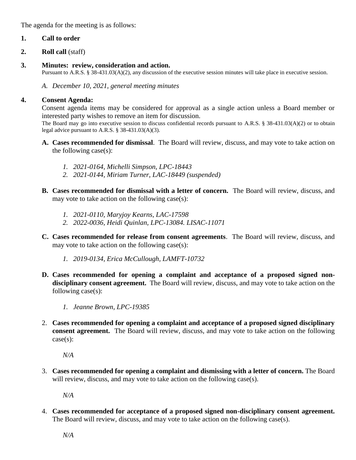The agenda for the meeting is as follows:

# **1. Call to order**

- **2. Roll call** (staff)
- **3. Minutes: review, consideration and action.**

Pursuant to A.R.S. § 38-431.03(A)(2), any discussion of the executive session minutes will take place in executive session.

*A. December 10, 2021, general meeting minutes* 

## **4. Consent Agenda:**

Consent agenda items may be considered for approval as a single action unless a Board member or interested party wishes to remove an item for discussion.

The Board may go into executive session to discuss confidential records pursuant to A.R.S. § 38-431.03(A)(2) or to obtain legal advice pursuant to A.R.S. § 38-431.03(A)(3).

- **A. Cases recommended for dismissal**. The Board will review, discuss, and may vote to take action on the following case(s):
	- *1. 2021-0164, Michelli Simpson, LPC-18443*
	- *2. 2021-0144, Miriam Turner, LAC-18449 (suspended)*
- **B. Cases recommended for dismissal with a letter of concern.** The Board will review, discuss, and may vote to take action on the following case(s):
	- *1. 2021-0110, Maryjoy Kearns, LAC-17598*
	- *2. 2022-0036, Heidi Quinlan, LPC-13084. LISAC-11071*
- **C. Cases recommended for release from consent agreements**. The Board will review, discuss, and may vote to take action on the following case(s):
	- *1. 2019-0134, Erica McCullough, LAMFT-10732*
- **D. Cases recommended for opening a complaint and acceptance of a proposed signed nondisciplinary consent agreement.** The Board will review, discuss, and may vote to take action on the following case(s):
	- *1. Jeanne Brown, LPC-19385*
- 2. **Cases recommended for opening a complaint and acceptance of a proposed signed disciplinary consent agreement.** The Board will review, discuss, and may vote to take action on the following case(s):

*N/A*

3. **Cases recommended for opening a complaint and dismissing with a letter of concern.** The Board will review, discuss, and may vote to take action on the following case(s).

*N/A*

4. **Cases recommended for acceptance of a proposed signed non-disciplinary consent agreement.**  The Board will review, discuss, and may vote to take action on the following case(s).

*N/A*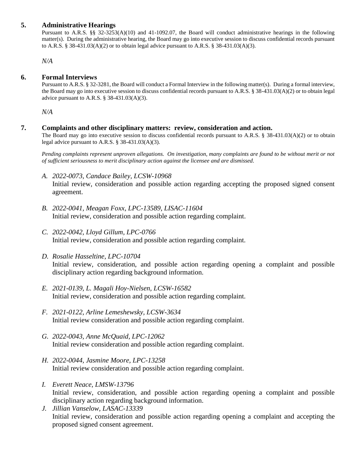## **5. Administrative Hearings**

Pursuant to A.R.S. §§ 32-3253(A)(10) and 41-1092.07, the Board will conduct administrative hearings in the following matter(s). During the administrative hearing, the Board may go into executive session to discuss confidential records pursuant to A.R.S. § 38-431.03(A)(2) or to obtain legal advice pursuant to A.R.S. § 38-431.03(A)(3).

*N/A*

## **6. Formal Interviews**

Pursuant to A.R.S. § 32-3281, the Board will conduct a Formal Interview in the following matter(s).During a formal interview, the Board may go into executive session to discuss confidential records pursuant to A.R.S. § 38-431.03(A)(2) or to obtain legal advice pursuant to A.R.S. § 38-431.03(A)(3).

 *N/A*

#### **7. Complaints and other disciplinary matters: review, consideration and action.**

The Board may go into executive session to discuss confidential records pursuant to A.R.S. § 38-431.03(A)(2) or to obtain legal advice pursuant to A.R.S. § 38-431.03(A)(3).

*Pending complaints represent unproven allegations. On investigation, many complaints are found to be without merit or not of sufficient seriousness to merit disciplinary action against the licensee and are dismissed.*

*A. 2022-0073, Candace Bailey, LCSW-10968*

Initial review, consideration and possible action regarding accepting the proposed signed consent agreement.

- *B. 2022-0041, Meagan Foxx, LPC-13589, LISAC-11604* Initial review, consideration and possible action regarding complaint.
- *C. 2022-0042, Lloyd Gillum, LPC-0766* Initial review, consideration and possible action regarding complaint.
- *D. Rosalie Hasseltine, LPC-10704* Initial review, consideration, and possible action regarding opening a complaint and possible disciplinary action regarding background information.
- *E. 2021-0139, L. Magali Hoy-Nielsen, LCSW-16582* Initial review, consideration and possible action regarding complaint.
- *F. 2021-0122, Arline Lemeshewsky, LCSW-3634*  Initial review consideration and possible action regarding complaint.
- *G. 2022-0043, Anne McQuaid, LPC-12062*  Initial review consideration and possible action regarding complaint.
- *H. 2022-0044, Jasmine Moore, LPC-13258* Initial review consideration and possible action regarding complaint.
- *I. Everett Neace, LMSW-13796* Initial review, consideration, and possible action regarding opening a complaint and possible disciplinary action regarding background information.
- *J. Jillian Vanselow, LASAC-13339* Initial review, consideration and possible action regarding opening a complaint and accepting the proposed signed consent agreement.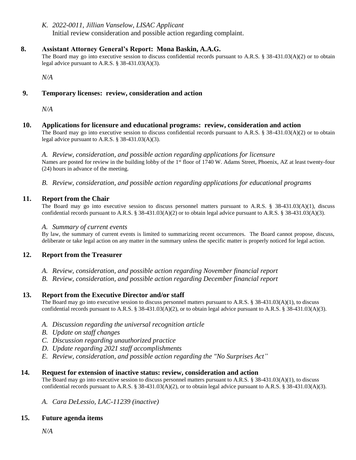## *K. 2022-0011, Jillian Vanselow, LISAC Applicant*

Initial review consideration and possible action regarding complaint.

## **8. Assistant Attorney General's Report: Mona Baskin, A.A.G.**

The Board may go into executive session to discuss confidential records pursuant to A.R.S. § 38-431.03(A)(2) or to obtain legal advice pursuant to A.R.S. § 38-431.03(A)(3).

*N/A*

## **9. Temporary licenses: review, consideration and action**

*N/A*

#### **10. Applications for licensure and educational programs: review, consideration and action**

The Board may go into executive session to discuss confidential records pursuant to A.R.S. § 38-431.03(A)(2) or to obtain legal advice pursuant to A.R.S. § 38-431.03(A)(3).

*A. Review, consideration, and possible action regarding applications for licensure* Names are posted for review in the building lobby of the 1<sup>st</sup> floor of 1740 W. Adams Street, Phoenix, AZ at least twenty-four (24) hours in advance of the meeting.

*B. Review, consideration, and possible action regarding applications for educational programs*

#### **11. Report from the Chair**

The Board may go into executive session to discuss personnel matters pursuant to A.R.S. § 38-431.03(A)(1), discuss confidential records pursuant to A.R.S. § 38-431.03(A)(2) or to obtain legal advice pursuant to A.R.S. § 38-431.03(A)(3).

#### *A. Summary of current events*

By law, the summary of current events is limited to summarizing recent occurrences. The Board cannot propose, discuss, deliberate or take legal action on any matter in the summary unless the specific matter is properly noticed for legal action.

## **12. Report from the Treasurer**

- *A. Review, consideration, and possible action regarding November financial report*
- *B. Review, consideration, and possible action regarding December financial report*

## **13. Report from the Executive Director and/or staff**

The Board may go into executive session to discuss personnel matters pursuant to A.R.S. § 38-431.03(A)(1), to discuss confidential records pursuant to A.R.S. § 38-431.03(A)(2), or to obtain legal advice pursuant to A.R.S. § 38-431.03(A)(3).

- *A. Discussion regarding the universal recognition article*
- *B. Update on staff changes*
- *C. Discussion regarding unauthorized practice*
- *D. Update regarding 2021 staff accomplishments*
- *E. Review, consideration, and possible action regarding the "No Surprises Act"*

## **14. Request for extension of inactive status: review, consideration and action**

The Board may go into executive session to discuss personnel matters pursuant to A.R.S. § 38-431.03(A)(1), to discuss confidential records pursuant to A.R.S. § 38-431.03(A)(2), or to obtain legal advice pursuant to A.R.S. § 38-431.03(A)(3).

## *A. Cara DeLessio, LAC-11239 (inactive)*

## **15. Future agenda items**

*N/A*